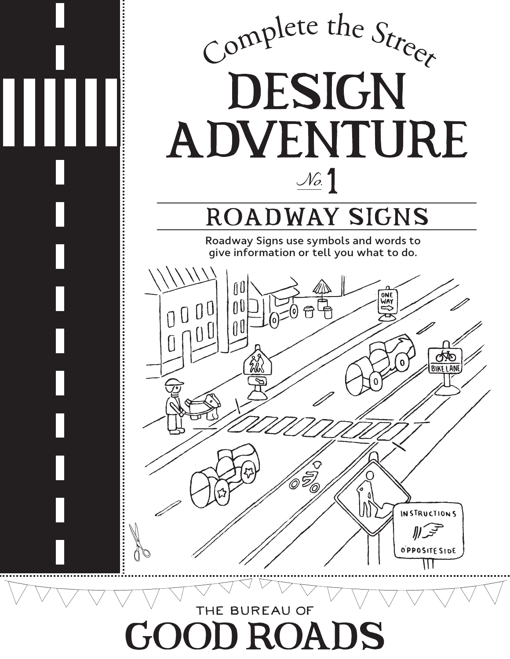